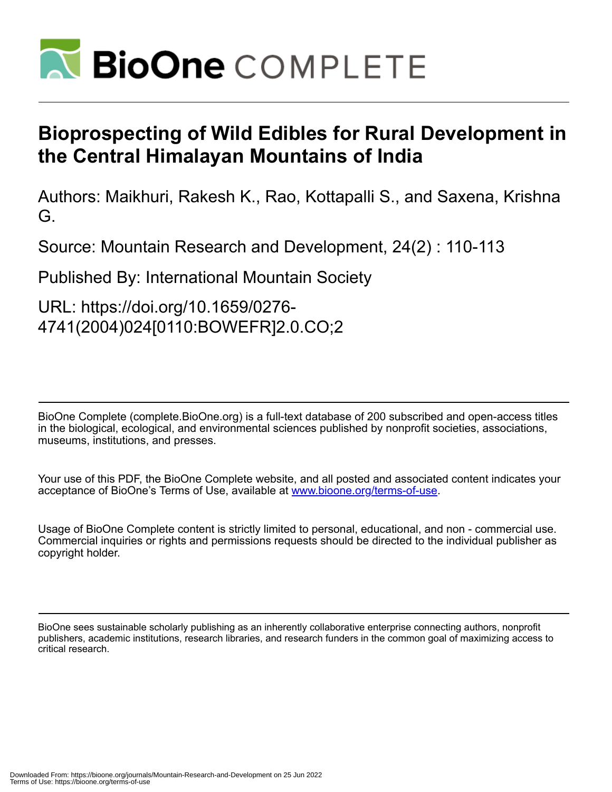

# **Bioprospecting of Wild Edibles for Rural Development in the Central Himalayan Mountains of India**

Authors: Maikhuri, Rakesh K., Rao, Kottapalli S., and Saxena, Krishna G.

Source: Mountain Research and Development, 24(2) : 110-113

Published By: International Mountain Society

URL: https://doi.org/10.1659/0276- 4741(2004)024[0110:BOWEFR]2.0.CO;2

BioOne Complete (complete.BioOne.org) is a full-text database of 200 subscribed and open-access titles in the biological, ecological, and environmental sciences published by nonprofit societies, associations, museums, institutions, and presses.

Your use of this PDF, the BioOne Complete website, and all posted and associated content indicates your acceptance of BioOne's Terms of Use, available at www.bioone.org/terms-of-use.

Usage of BioOne Complete content is strictly limited to personal, educational, and non - commercial use. Commercial inquiries or rights and permissions requests should be directed to the individual publisher as copyright holder.

BioOne sees sustainable scholarly publishing as an inherently collaborative enterprise connecting authors, nonprofit publishers, academic institutions, research libraries, and research funders in the common goal of maximizing access to critical research.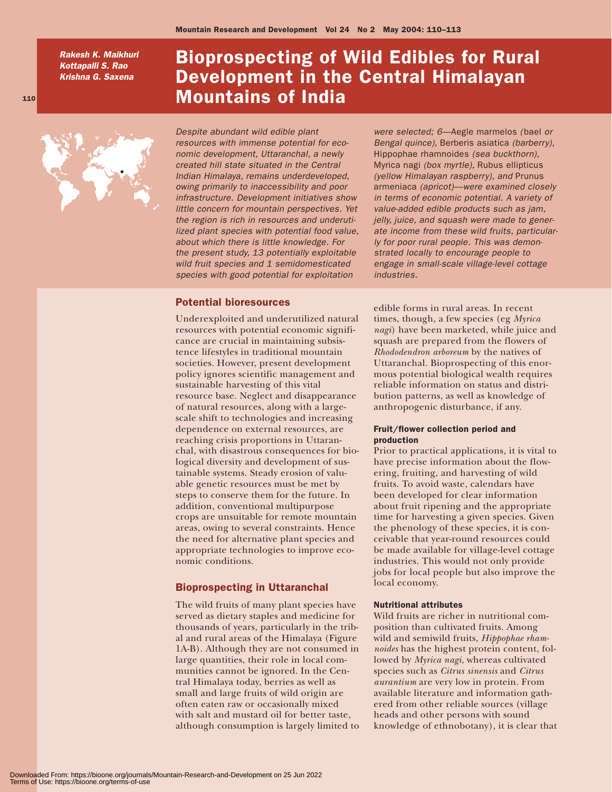*Rakesh K. Maikhuri Kottapalli S. Rao Krishna G. Saxena*

110

## Bioprospecting of Wild Edibles for Rural Development in the Central Himalayan Mountains of India



*Despite abundant wild edible plant resources with immense potential for economic development, Uttaranchal, a newly created hill state situated in the Central Indian Himalaya, remains underdeveloped, owing primarily to inaccessibility and poor infrastructure. Development initiatives show little concern for mountain perspectives. Yet the region is rich in resources and underutilized plant species with potential food value, about which there is little knowledge. For the present study, 13 potentially exploitable wild fruit species and 1 semidomesticated species with good potential for exploitation*

## Potential bioresources

Underexploited and underutilized natural resources with potential economic significance are crucial in maintaining subsistence lifestyles in traditional mountain societies. However, present development policy ignores scientific management and sustainable harvesting of this vital resource base. Neglect and disappearance of natural resources, along with a largescale shift to technologies and increasing dependence on external resources, are reaching crisis proportions in Uttaranchal, with disastrous consequences for biological diversity and development of sustainable systems. Steady erosion of valuable genetic resources must be met by steps to conserve them for the future. In addition, conventional multipurpose crops are unsuitable for remote mountain areas, owing to several constraints. Hence the need for alternative plant species and appropriate technologies to improve economic conditions.

## Bioprospecting in Uttaranchal

The wild fruits of many plant species have served as dietary staples and medicine for thousands of years, particularly in the tribal and rural areas of the Himalaya (Figure 1A-B). Although they are not consumed in large quantities, their role in local communities cannot be ignored. In the Central Himalaya today, berries as well as small and large fruits of wild origin are often eaten raw or occasionally mixed with salt and mustard oil for better taste, although consumption is largely limited to

*were selected; 6—*Aegle marmelos *(*bael *or Bengal quince),* Berberis asiatica *(barberry),* Hippophae rhamnoides *(sea buckthorn),* Myrica nagi *(box myrtle),* Rubus ellipticus *(yellow Himalayan raspberry), and* Prunus armeniaca *(apricot)—were examined closely in terms of economic potential. A variety of value-added edible products such as jam, jelly, juice, and squash were made to generate income from these wild fruits, particularly for poor rural people. This was demonstrated locally to encourage people to engage in small-scale village-level cottage industries.*

edible forms in rural areas. In recent times, though, a few species (eg *Myrica nagi*) have been marketed, while juice and squash are prepared from the flowers of *Rhododendron arboreum* by the natives of Uttaranchal. Bioprospecting of this enormous potential biological wealth requires reliable information on status and distribution patterns, as well as knowledge of anthropogenic disturbance, if any.

## Fruit/flower collection period and production

Prior to practical applications, it is vital to have precise information about the flowering, fruiting, and harvesting of wild fruits. To avoid waste, calendars have been developed for clear information about fruit ripening and the appropriate time for harvesting a given species. Given the phenology of these species, it is conceivable that year-round resources could be made available for village-level cottage industries. This would not only provide jobs for local people but also improve the local economy.

### Nutritional attributes

Wild fruits are richer in nutritional composition than cultivated fruits. Among wild and semiwild fruits, *Hippophae rhamnoides* has the highest protein content, followed by *Myrica nagi*, whereas cultivated species such as *Citrus sinensis* and *Citrus aurantium* are very low in protein. From available literature and information gathered from other reliable sources (village heads and other persons with sound knowledge of ethnobotany), it is clear that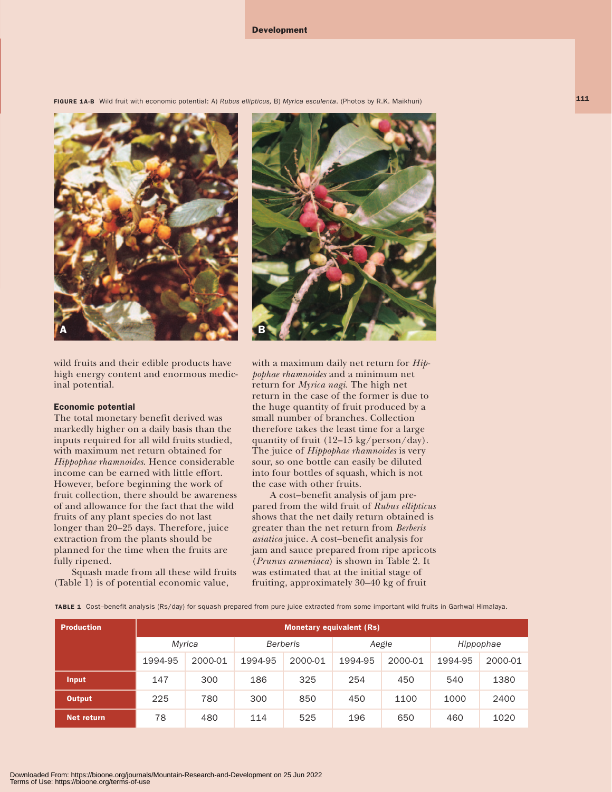Development

FIGURE 1A-B Wild fruit with economic potential: A) *Rubus ellipticus,* B) *Myrica esculenta*. (Photos by R.K. Maikhuri)



### Economic potential

The total monetary benefit derived was markedly higher on a daily basis than the inputs required for all wild fruits studied, with maximum net return obtained for *Hippophae rhamnoides*. Hence considerable income can be earned with little effort. However, before beginning the work of fruit collection, there should be awareness of and allowance for the fact that the wild fruits of any plant species do not last longer than 20–25 days. Therefore, juice extraction from the plants should be planned for the time when the fruits are fully ripened.

Squash made from all these wild fruits (Table 1) is of potential economic value,



with a maximum daily net return for *Hippophae rhamnoides* and a minimum net return for *Myrica nagi*. The high net return in the case of the former is due to the huge quantity of fruit produced by a small number of branches. Collection therefore takes the least time for a large quantity of fruit (12–15 kg/person/day). The juice of *Hippophae rhamnoides* is very sour, so one bottle can easily be diluted into four bottles of squash, which is not the case with other fruits.

A cost–benefit analysis of jam prepared from the wild fruit of *Rubus ellipticus* shows that the net daily return obtained is greater than the net return from *Berberis asiatica* juice. A cost–benefit analysis for jam and sauce prepared from ripe apricots (*Prunus armeniaca*) is shown in Table 2. It was estimated that at the initial stage of fruiting, approximately 30–40 kg of fruit

TABLE 1 Cost–benefit analysis (Rs/day) for squash prepared from pure juice extracted from some important wild fruits in Garhwal Himalaya.

| <b>Production</b> | <b>Monetary equivalent (Rs)</b> |         |                 |         |         |         |           |         |
|-------------------|---------------------------------|---------|-----------------|---------|---------|---------|-----------|---------|
|                   | Myrica                          |         | <b>Berberis</b> |         | Aegle   |         | Hippophae |         |
|                   | 1994-95                         | 2000-01 | 1994-95         | 2000-01 | 1994-95 | 2000-01 | 1994-95   | 2000-01 |
| Input             | 147                             | 300     | 186             | 325     | 254     | 450     | 540       | 1380    |
| Output            | 225                             | 780     | 300             | 850     | 450     | 1100    | 1000      | 2400    |
| Net return        | 78                              | 480     | 114             | 525     | 196     | 650     | 460       | 1020    |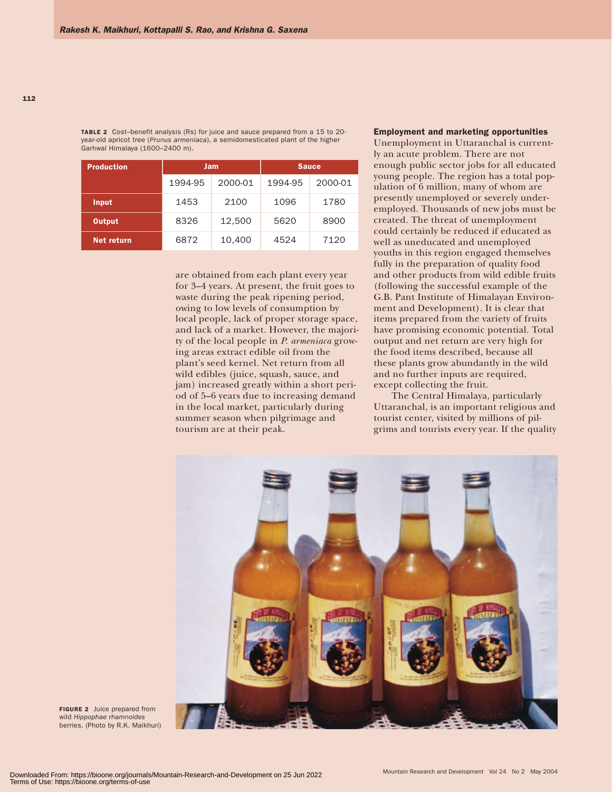TABLE 2 Cost-benefit analysis (Rs) for juice and sauce prepared from a 15 to 20year-old apricot tree (*Prunus armeniaca*), a semidomesticated plant of the higher Garhwal Himalaya (1600–2400 m).

| <b>Production</b> |         | Jam     | <b>Sauce</b> |         |  |
|-------------------|---------|---------|--------------|---------|--|
|                   | 1994-95 | 2000-01 | 1994-95      | 2000-01 |  |
| <b>Input</b>      | 1453    | 2100    | 1096         | 1780    |  |
| <b>Output</b>     | 8326    | 12,500  | 5620         | 8900    |  |
| Net return        | 6872    | 10.400  | 4524         | 7120    |  |

are obtained from each plant every year for 3–4 years. At present, the fruit goes to waste during the peak ripening period, owing to low levels of consumption by local people, lack of proper storage space, and lack of a market. However, the majority of the local people in *P. armeniaca* growing areas extract edible oil from the plant's seed kernel. Net return from all wild edibles (juice, squash, sauce, and jam) increased greatly within a short period of 5–6 years due to increasing demand in the local market, particularly during summer season when pilgrimage and tourism are at their peak.

## Employment and marketing opportunities

Unemployment in Uttaranchal is currently an acute problem. There are not enough public sector jobs for all educated young people. The region has a total population of 6 million, many of whom are presently unemployed or severely underemployed. Thousands of new jobs must be created. The threat of unemployment could certainly be reduced if educated as well as uneducated and unemployed youths in this region engaged themselves fully in the preparation of quality food and other products from wild edible fruits (following the successful example of the G.B. Pant Institute of Himalayan Environment and Development). It is clear that items prepared from the variety of fruits have promising economic potential. Total output and net return are very high for the food items described, because all these plants grow abundantly in the wild and no further inputs are required, except collecting the fruit.

The Central Himalaya, particularly Uttaranchal, is an important religious and tourist center, visited by millions of pilgrims and tourists every year. If the quality



FIGURE 2 Juice prepared from wild *Hippophae rhamnoides* berries. (Photo by R.K. Maikhuri)